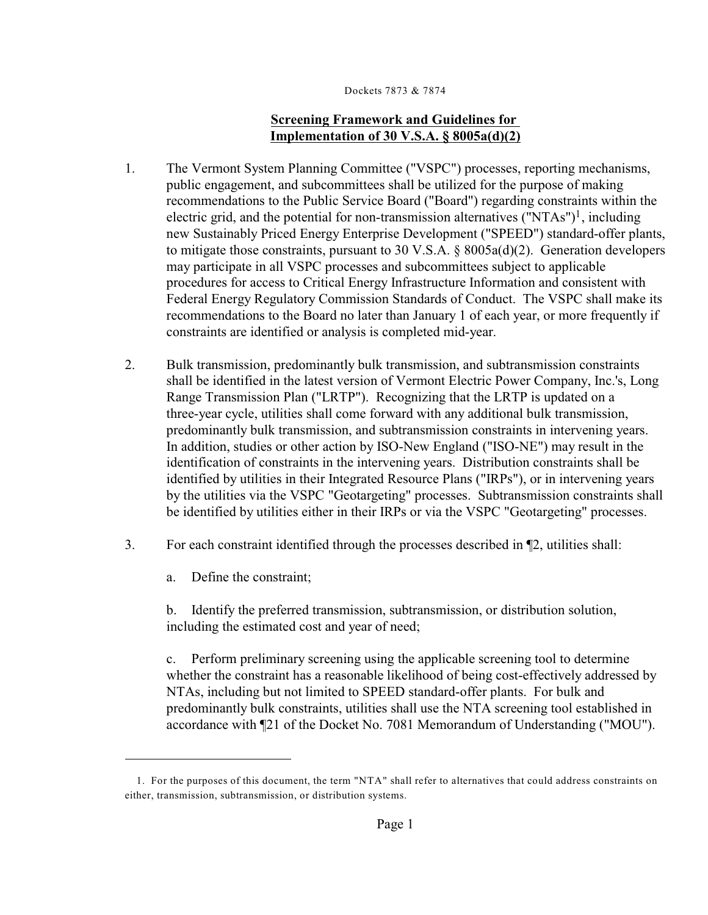# **Screening Framework and Guidelines for Implementation of 30 V.S.A. § 8005a(d)(2)**

- 1. The Vermont System Planning Committee ("VSPC") processes, reporting mechanisms, public engagement, and subcommittees shall be utilized for the purpose of making recommendations to the Public Service Board ("Board") regarding constraints within the electric grid, and the potential for non-transmission alternatives ("NTAs")<sup>1</sup>, including new Sustainably Priced Energy Enterprise Development ("SPEED") standard-offer plants, to mitigate those constraints, pursuant to 30 V.S.A. § 8005a(d)(2). Generation developers may participate in all VSPC processes and subcommittees subject to applicable procedures for access to Critical Energy Infrastructure Information and consistent with Federal Energy Regulatory Commission Standards of Conduct. The VSPC shall make its recommendations to the Board no later than January 1 of each year, or more frequently if constraints are identified or analysis is completed mid-year.
- 2. Bulk transmission, predominantly bulk transmission, and subtransmission constraints shall be identified in the latest version of Vermont Electric Power Company, Inc.'s, Long Range Transmission Plan ("LRTP"). Recognizing that the LRTP is updated on a three-year cycle, utilities shall come forward with any additional bulk transmission, predominantly bulk transmission, and subtransmission constraints in intervening years. In addition, studies or other action by ISO-New England ("ISO-NE") may result in the identification of constraints in the intervening years. Distribution constraints shall be identified by utilities in their Integrated Resource Plans ("IRPs"), or in intervening years by the utilities via the VSPC "Geotargeting" processes. Subtransmission constraints shall be identified by utilities either in their IRPs or via the VSPC "Geotargeting" processes.
- 3. For each constraint identified through the processes described in ¶2, utilities shall:
	- a. Define the constraint;

b. Identify the preferred transmission, subtransmission, or distribution solution, including the estimated cost and year of need;

c. Perform preliminary screening using the applicable screening tool to determine whether the constraint has a reasonable likelihood of being cost-effectively addressed by NTAs, including but not limited to SPEED standard-offer plants. For bulk and predominantly bulk constraints, utilities shall use the NTA screening tool established in accordance with ¶21 of the Docket No. 7081 Memorandum of Understanding ("MOU").

<sup>1.</sup> For the purposes of this document, the term "NTA" shall refer to alternatives that could address constraints on either, transmission, subtransmission, or distribution systems.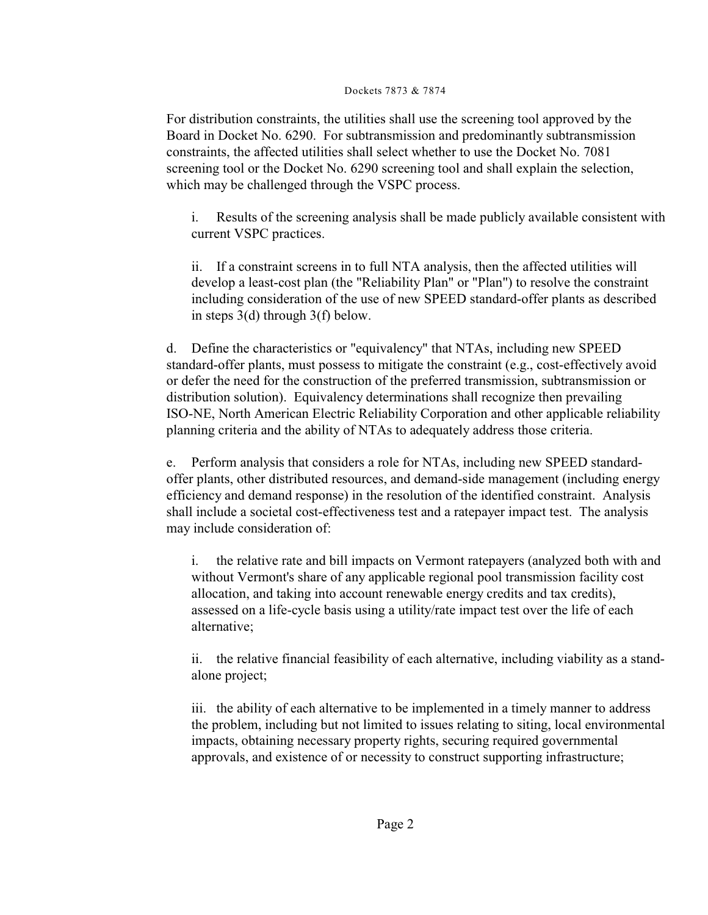For distribution constraints, the utilities shall use the screening tool approved by the Board in Docket No. 6290. For subtransmission and predominantly subtransmission constraints, the affected utilities shall select whether to use the Docket No. 7081 screening tool or the Docket No. 6290 screening tool and shall explain the selection, which may be challenged through the VSPC process.

i. Results of the screening analysis shall be made publicly available consistent with current VSPC practices.

ii. If a constraint screens in to full NTA analysis, then the affected utilities will develop a least-cost plan (the "Reliability Plan" or "Plan") to resolve the constraint including consideration of the use of new SPEED standard-offer plants as described in steps 3(d) through 3(f) below.

d. Define the characteristics or "equivalency" that NTAs, including new SPEED standard-offer plants, must possess to mitigate the constraint (e.g., cost-effectively avoid or defer the need for the construction of the preferred transmission, subtransmission or distribution solution). Equivalency determinations shall recognize then prevailing ISO-NE, North American Electric Reliability Corporation and other applicable reliability planning criteria and the ability of NTAs to adequately address those criteria.

Perform analysis that considers a role for NTAs, including new SPEED standardoffer plants, other distributed resources, and demand-side management (including energy efficiency and demand response) in the resolution of the identified constraint. Analysis shall include a societal cost-effectiveness test and a ratepayer impact test. The analysis may include consideration of:

i. the relative rate and bill impacts on Vermont ratepayers (analyzed both with and without Vermont's share of any applicable regional pool transmission facility cost allocation, and taking into account renewable energy credits and tax credits), assessed on a life-cycle basis using a utility/rate impact test over the life of each alternative;

ii. the relative financial feasibility of each alternative, including viability as a standalone project;

iii. the ability of each alternative to be implemented in a timely manner to address the problem, including but not limited to issues relating to siting, local environmental impacts, obtaining necessary property rights, securing required governmental approvals, and existence of or necessity to construct supporting infrastructure;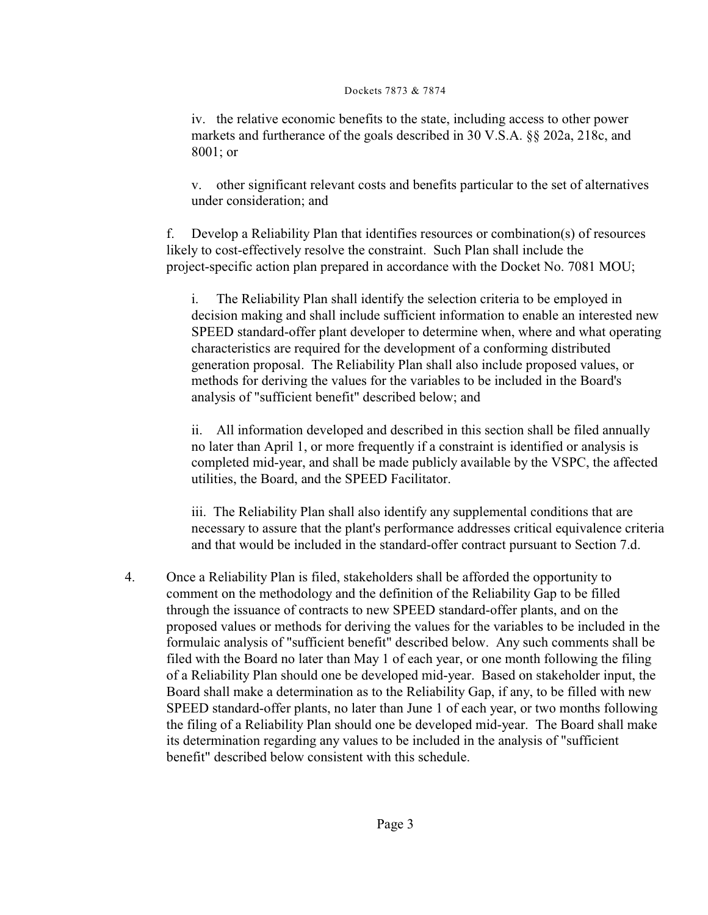iv. the relative economic benefits to the state, including access to other power markets and furtherance of the goals described in 30 V.S.A. §§ 202a, 218c, and 8001; or

v. other significant relevant costs and benefits particular to the set of alternatives under consideration; and

f. Develop a Reliability Plan that identifies resources or combination(s) of resources likely to cost-effectively resolve the constraint. Such Plan shall include the project-specific action plan prepared in accordance with the Docket No. 7081 MOU;

i. The Reliability Plan shall identify the selection criteria to be employed in decision making and shall include sufficient information to enable an interested new SPEED standard-offer plant developer to determine when, where and what operating characteristics are required for the development of a conforming distributed generation proposal. The Reliability Plan shall also include proposed values, or methods for deriving the values for the variables to be included in the Board's analysis of "sufficient benefit" described below; and

ii. All information developed and described in this section shall be filed annually no later than April 1, or more frequently if a constraint is identified or analysis is completed mid-year, and shall be made publicly available by the VSPC, the affected utilities, the Board, and the SPEED Facilitator.

iii. The Reliability Plan shall also identify any supplemental conditions that are necessary to assure that the plant's performance addresses critical equivalence criteria and that would be included in the standard-offer contract pursuant to Section 7.d.

4. Once a Reliability Plan is filed, stakeholders shall be afforded the opportunity to comment on the methodology and the definition of the Reliability Gap to be filled through the issuance of contracts to new SPEED standard-offer plants, and on the proposed values or methods for deriving the values for the variables to be included in the formulaic analysis of "sufficient benefit" described below. Any such comments shall be filed with the Board no later than May 1 of each year, or one month following the filing of a Reliability Plan should one be developed mid-year. Based on stakeholder input, the Board shall make a determination as to the Reliability Gap, if any, to be filled with new SPEED standard-offer plants, no later than June 1 of each year, or two months following the filing of a Reliability Plan should one be developed mid-year. The Board shall make its determination regarding any values to be included in the analysis of "sufficient benefit" described below consistent with this schedule.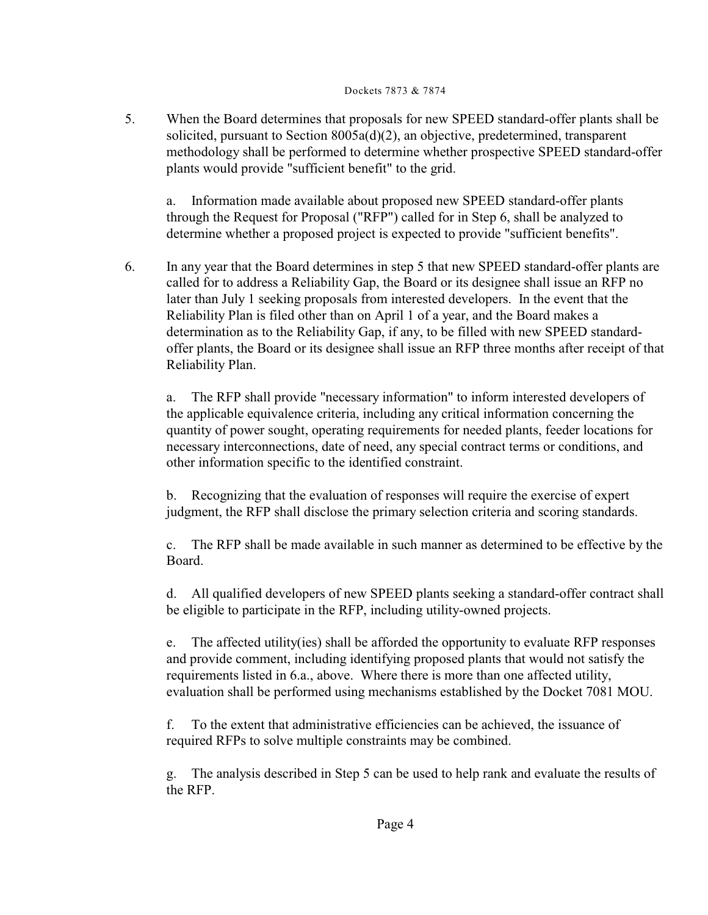5. When the Board determines that proposals for new SPEED standard-offer plants shall be solicited, pursuant to Section 8005a(d)(2), an objective, predetermined, transparent methodology shall be performed to determine whether prospective SPEED standard-offer plants would provide "sufficient benefit" to the grid.

a. Information made available about proposed new SPEED standard-offer plants through the Request for Proposal ("RFP") called for in Step 6, shall be analyzed to determine whether a proposed project is expected to provide "sufficient benefits".

6. In any year that the Board determines in step 5 that new SPEED standard-offer plants are called for to address a Reliability Gap, the Board or its designee shall issue an RFP no later than July 1 seeking proposals from interested developers. In the event that the Reliability Plan is filed other than on April 1 of a year, and the Board makes a determination as to the Reliability Gap, if any, to be filled with new SPEED standardoffer plants, the Board or its designee shall issue an RFP three months after receipt of that Reliability Plan.

a. The RFP shall provide "necessary information" to inform interested developers of the applicable equivalence criteria, including any critical information concerning the quantity of power sought, operating requirements for needed plants, feeder locations for necessary interconnections, date of need, any special contract terms or conditions, and other information specific to the identified constraint.

b. Recognizing that the evaluation of responses will require the exercise of expert judgment, the RFP shall disclose the primary selection criteria and scoring standards.

c. The RFP shall be made available in such manner as determined to be effective by the Board.

d. All qualified developers of new SPEED plants seeking a standard-offer contract shall be eligible to participate in the RFP, including utility-owned projects.

e. The affected utility(ies) shall be afforded the opportunity to evaluate RFP responses and provide comment, including identifying proposed plants that would not satisfy the requirements listed in 6.a., above. Where there is more than one affected utility, evaluation shall be performed using mechanisms established by the Docket 7081 MOU.

f. To the extent that administrative efficiencies can be achieved, the issuance of required RFPs to solve multiple constraints may be combined.

g. The analysis described in Step 5 can be used to help rank and evaluate the results of the RFP.